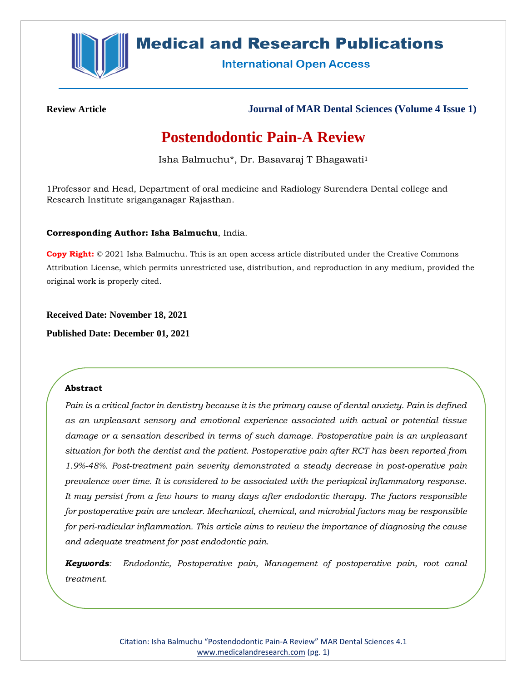

## **Medical and Research Publications**

**International Open Access** 

**Review Article Journal of MAR Dental Sciences (Volume 4 Issue 1)**

# **Postendodontic Pain-A Review**

Isha Balmuchu\*, Dr. Basavaraj T Bhagawati<sup>1</sup>

1Professor and Head, Department of oral medicine and Radiology Surendera Dental college and Research Institute sriganganagar Rajasthan.

## **Corresponding Author: Isha Balmuchu**, India.

**Copy Right:** © 2021 Isha Balmuchu. This is an open access article distributed under the Creative Commons Attribution License, which permits unrestricted use, distribution, and reproduction in any medium, provided the original work is properly cited.

**Received Date: November 18, 2021**

**Published Date: December 01, 2021**

## **Abstract**

*Pain is a critical factor in dentistry because it is the primary cause of dental anxiety. Pain is defined as an unpleasant sensory and emotional experience associated with actual or potential tissue damage or a sensation described in terms of such damage. Postoperative pain is an unpleasant situation for both the dentist and the patient. Postoperative pain after RCT has been reported from 1.9%-48%. Post-treatment pain severity demonstrated a steady decrease in post-operative pain prevalence over time. It is considered to be associated with the periapical inflammatory response. It may persist from a few hours to many days after endodontic therapy. The factors responsible for postoperative pain are unclear. Mechanical, chemical, and microbial factors may be responsible for peri-radicular inflammation. This article aims to review the importance of diagnosing the cause and adequate treatment for post endodontic pain.*

*Keywords: Endodontic, Postoperative pain, Management of postoperative pain, root canal treatment.*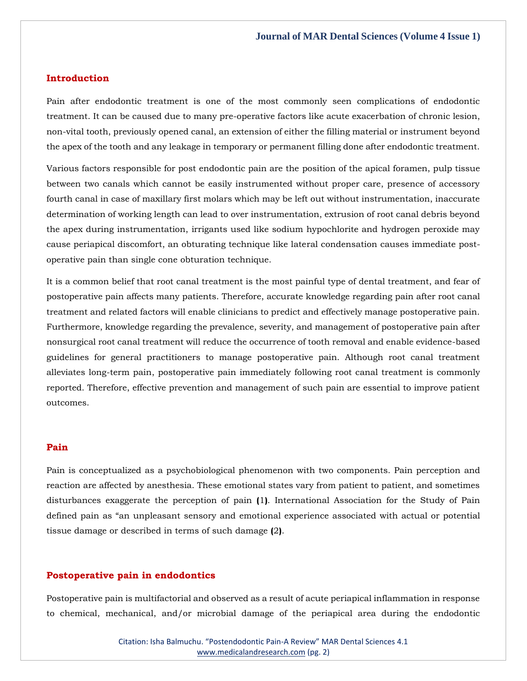## **Introduction**

Pain after endodontic treatment is one of the most commonly seen complications of endodontic treatment. It can be caused due to many pre-operative factors like acute exacerbation of chronic lesion, non-vital tooth, previously opened canal, an extension of either the filling material or instrument beyond the apex of the tooth and any leakage in temporary or permanent filling done after endodontic treatment.

Various factors responsible for post endodontic pain are the position of the apical foramen, pulp tissue between two canals which cannot be easily instrumented without proper care, presence of accessory fourth canal in case of maxillary first molars which may be left out without instrumentation, inaccurate determination of working length can lead to over instrumentation, extrusion of root canal debris beyond the apex during instrumentation, irrigants used like sodium hypochlorite and hydrogen peroxide may cause periapical discomfort, an obturating technique like lateral condensation causes immediate postoperative pain than single cone obturation technique.

It is a common belief that root canal treatment is the most painful type of dental treatment, and fear of postoperative pain affects many patients. Therefore, accurate knowledge regarding pain after root canal treatment and related factors will enable clinicians to predict and effectively manage postoperative pain. Furthermore, knowledge regarding the prevalence, severity, and management of postoperative pain after nonsurgical root canal treatment will reduce the occurrence of tooth removal and enable evidence-based guidelines for general practitioners to manage postoperative pain. Although root canal treatment alleviates long-term pain, postoperative pain immediately following root canal treatment is commonly reported. Therefore, effective prevention and management of such pain are essential to improve patient outcomes.

#### **Pain**

Pain is conceptualized as a psychobiological phenomenon with two components. Pain perception and reaction are affected by anesthesia. These emotional states vary from patient to patient, and sometimes disturbances exaggerate the perception of pain **(**1**)**. International Association for the Study of Pain defined pain as "an unpleasant sensory and emotional experience associated with actual or potential tissue damage or described in terms of such damage **(**2**)**.

#### **Postoperative pain in endodontics**

Postoperative pain is multifactorial and observed as a result of acute periapical inflammation in response to chemical, mechanical, and/or microbial damage of the periapical area during the endodontic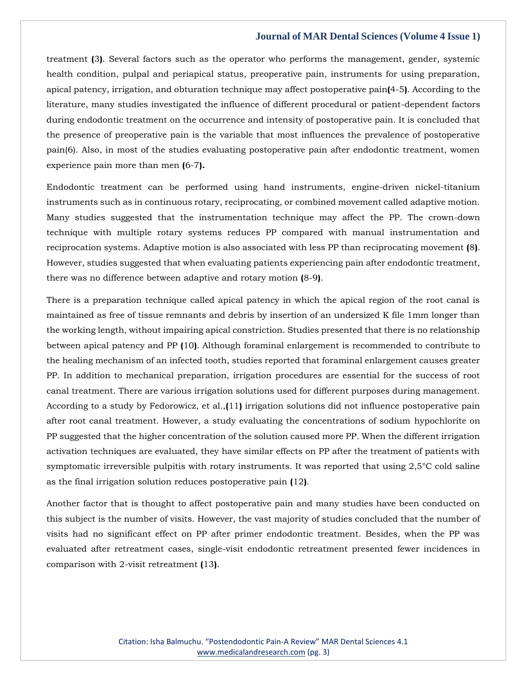treatment **(**3**)**. Several factors such as the operator who performs the management, gender, systemic health condition, pulpal and periapical status, preoperative pain, instruments for using preparation, apical patency, irrigation, and obturation technique may affect postoperative pain**(**4-5**)**. According to the literature, many studies investigated the influence of different procedural or patient-dependent factors during endodontic treatment on the occurrence and intensity of postoperative pain. It is concluded that the presence of preoperative pain is the variable that most influences the prevalence of postoperative pain(6). Also, in most of the studies evaluating postoperative pain after endodontic treatment, women experience pain more than men **(**6-7**).**

Endodontic treatment can be performed using hand instruments, engine-driven nickel-titanium instruments such as in continuous rotary, reciprocating, or combined movement called adaptive motion. Many studies suggested that the instrumentation technique may affect the PP. The crown-down technique with multiple rotary systems reduces PP compared with manual instrumentation and reciprocation systems. Adaptive motion is also associated with less PP than reciprocating movement **(**8**)**. However, studies suggested that when evaluating patients experiencing pain after endodontic treatment, there was no difference between adaptive and rotary motion **(**8-9**)**.

There is a preparation technique called apical patency in which the apical region of the root canal is maintained as free of tissue remnants and debris by insertion of an undersized K file 1mm longer than the working length, without impairing apical constriction. Studies presented that there is no relationship between apical patency and PP **(**10**)**. Although foraminal enlargement is recommended to contribute to the healing mechanism of an infected tooth, studies reported that foraminal enlargement causes greater PP. In addition to mechanical preparation, irrigation procedures are essential for the success of root canal treatment. There are various irrigation solutions used for different purposes during management. According to a study by Fedorowicz, et al.,**(**11**)** irrigation solutions did not influence postoperative pain after root canal treatment. However, a study evaluating the concentrations of sodium hypochlorite on PP suggested that the higher concentration of the solution caused more PP. When the different irrigation activation techniques are evaluated, they have similar effects on PP after the treatment of patients with symptomatic irreversible pulpitis with rotary instruments. It was reported that using 2,5°C cold saline as the final irrigation solution reduces postoperative pain **(**12**)**.

Another factor that is thought to affect postoperative pain and many studies have been conducted on this subject is the number of visits. However, the vast majority of studies concluded that the number of visits had no significant effect on PP after primer endodontic treatment. Besides, when the PP was evaluated after retreatment cases, single-visit endodontic retreatment presented fewer incidences in comparison with 2-visit retreatment **(**13**)**.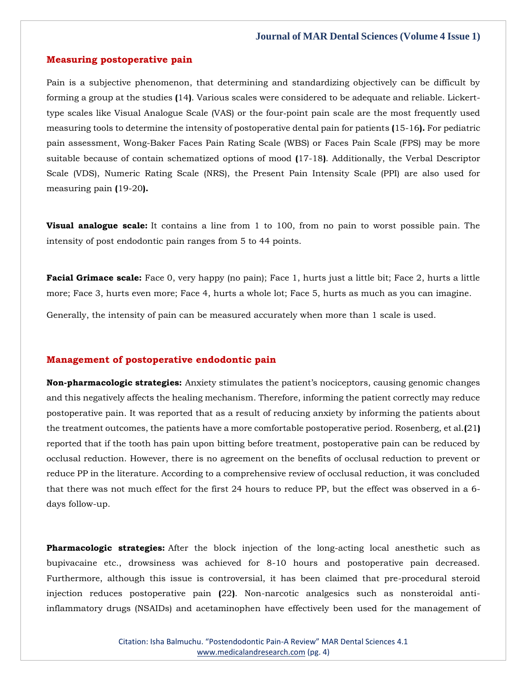#### **Measuring postoperative pain**

Pain is a subjective phenomenon, that determining and standardizing objectively can be difficult by forming a group at the studies **(**14**)**. Various scales were considered to be adequate and reliable. Lickerttype scales like Visual Analogue Scale (VAS) or the four‐point pain scale are the most frequently used measuring tools to determine the intensity of postoperative dental pain for patients **(**15-16**).** For pediatric pain assessment, Wong-Baker Faces Pain Rating Scale (WBS) or Faces Pain Scale (FPS) may be more suitable because of contain schematized options of mood **(**17-18**)**. Additionally, the Verbal Descriptor Scale (VDS), Numeric Rating Scale (NRS), the Present Pain Intensity Scale (PPI) are also used for measuring pain **(**19-20**).**

**Visual analogue scale:** It contains a line from 1 to 100, from no pain to worst possible pain. The intensity of post endodontic pain ranges from 5 to 44 points.

**Facial Grimace scale:** Face 0, very happy (no pain); Face 1, hurts just a little bit; Face 2, hurts a little more; Face 3, hurts even more; Face 4, hurts a whole lot; Face 5, hurts as much as you can imagine.

Generally, the intensity of pain can be measured accurately when more than 1 scale is used.

## **Management of postoperative endodontic pain**

**Non-pharmacologic strategies:** Anxiety stimulates the patient's nociceptors, causing genomic changes and this negatively affects the healing mechanism. Therefore, informing the patient correctly may reduce postoperative pain. It was reported that as a result of reducing anxiety by informing the patients about the treatment outcomes, the patients have a more comfortable postoperative period. Rosenberg, et al.**(**21**)** reported that if the tooth has pain upon bitting before treatment, postoperative pain can be reduced by occlusal reduction. However, there is no agreement on the benefits of occlusal reduction to prevent or reduce PP in the literature. According to a comprehensive review of occlusal reduction, it was concluded that there was not much effect for the first 24 hours to reduce PP, but the effect was observed in a 6 days follow-up.

**Pharmacologic strategies:** After the block injection of the long-acting local anesthetic such as bupivacaine etc., drowsiness was achieved for 8-10 hours and postoperative pain decreased. Furthermore, although this issue is controversial, it has been claimed that pre-procedural steroid injection reduces postoperative pain **(**22**)**. Non-narcotic analgesics such as nonsteroidal antiinflammatory drugs (NSAIDs) and acetaminophen have effectively been used for the management of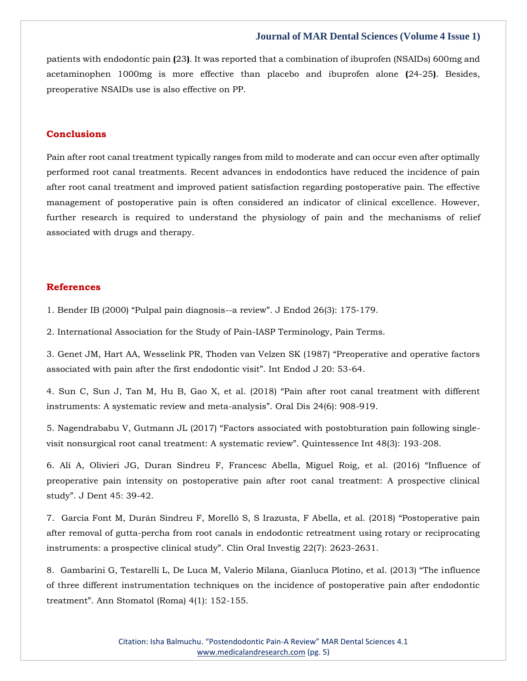patients with endodontic pain **(**23**)**. It was reported that a combination of ibuprofen (NSAIDs) 600mg and acetaminophen 1000mg is more effective than placebo and ibuprofen alone **(**24-25**)**. Besides, preoperative NSAIDs use is also effective on PP.

#### **Conclusions**

Pain after root canal treatment typically ranges from mild to moderate and can occur even after optimally performed root canal treatments. Recent advances in endodontics have reduced the incidence of pain after root canal treatment and improved patient satisfaction regarding postoperative pain. The effective management of postoperative pain is often considered an indicator of clinical excellence. However, further research is required to understand the physiology of pain and the mechanisms of relief associated with drugs and therapy.

#### **References**

1. [Bender IB \(2000\) "Pulpal pain diagnosis](https://www.google.com/search?q=Pulpal+pain+diagnosis--a+review&sxsrf=AOaemvJRBWFDcae9Wbn621k_CmIFsLdJMw%3A1637581709929&ei=jYObYeOIOJ-L4-EPhtiKwAw&ved=0ahUKEwijg_Gg86v0AhWfxTgGHQasAsgQ4dUDCA4&uact=5&oq=Pulpal+pain+diagnosis--a+review&gs_lcp=Cgdnd3Mtd2l6EAMyBggAEBYQHjoHCCMQ6gIQJ0oECEEYAFC2Bli2BmCAC2gBcAB4AIABvQGIAb0BkgEDMC4xmAEAoAEBoAECsAEKwAEB&sclient=gws-wiz)--a review". J Endod 26(3): 175-179.

2. International Association for the Study of Pain-IASP Terminology, Pain Terms.

3. Genet JM, Hart AA, Wess[elink PR, Thoden van Velzen SK \(1987\) "Preoperative and operative factors](https://www.google.com/search?q=Preoperative+and+operative+factors+associated+with+pain+after+the+first+endodontic+visit&sxsrf=AOaemvKldqdaKrcLDBsTenQB3XHf5_p-lQ%3A1637592606086&ei=Hq6bYbPIBNfcz7sPmvSI0AE&ved=0ahUKEwizz8nsm6z0AhVX7nMBHRo6AhoQ4dUDCA4&uact=5&oq=Preoperative+and+operative+factors+associated+with+pain+after+the+first+endodontic+visit&gs_lcp=Cgdnd3Mtd2l6EAMyBAgAEB46BwgjEOoCECdKBAhBGABQ_QVY_QVg5QloAXACeACAAbUBiAG1AZIBAzAuMZgBAKABAaABArABCsABAQ&sclient=gws-wiz)  [associated with pain after the first endodontic visit". Int Endod J 20: 53](https://www.google.com/search?q=Preoperative+and+operative+factors+associated+with+pain+after+the+first+endodontic+visit&sxsrf=AOaemvKldqdaKrcLDBsTenQB3XHf5_p-lQ%3A1637592606086&ei=Hq6bYbPIBNfcz7sPmvSI0AE&ved=0ahUKEwizz8nsm6z0AhVX7nMBHRo6AhoQ4dUDCA4&uact=5&oq=Preoperative+and+operative+factors+associated+with+pain+after+the+first+endodontic+visit&gs_lcp=Cgdnd3Mtd2l6EAMyBAgAEB46BwgjEOoCECdKBAhBGABQ_QVY_QVg5QloAXACeACAAbUBiAG1AZIBAzAuMZgBAKABAaABArABCsABAQ&sclient=gws-wiz)-64.

4. [Sun C, Sun J, Tan M, Hu B, Gao X, et al. \(2018\) "Pain after root canal treatment with different](https://www.google.com/search?q=Pain+after+root+canal+treatment+with+different+instruments%3A+A+systematic+review+and+meta-analysis&sxsrf=AOaemvIP170Lu_FOyHfbKGIQln3SEVG_IA%3A1637592632955&ei=OK6bYdjLOafhz7sPjIizuAs&ved=0ahUKEwjYx7H5m6z0AhWn8HMBHQzEDLcQ4dUDCA4&uact=5&oq=Pain+after+root+canal+treatment+with+different+instruments%3A+A+systematic+review+and+meta-analysis&gs_lcp=Cgdnd3Mtd2l6EAM6BwgjEOoCECdKBAhBGABQ7AVY7AVgiAloAXAAeACAAYUCiAGFApIBAzItMZgBAKABAaABArABCsABAQ&sclient=gws-wiz)  [instruments: A systematic review and meta-](https://www.google.com/search?q=Pain+after+root+canal+treatment+with+different+instruments%3A+A+systematic+review+and+meta-analysis&sxsrf=AOaemvIP170Lu_FOyHfbKGIQln3SEVG_IA%3A1637592632955&ei=OK6bYdjLOafhz7sPjIizuAs&ved=0ahUKEwjYx7H5m6z0AhWn8HMBHQzEDLcQ4dUDCA4&uact=5&oq=Pain+after+root+canal+treatment+with+different+instruments%3A+A+systematic+review+and+meta-analysis&gs_lcp=Cgdnd3Mtd2l6EAM6BwgjEOoCECdKBAhBGABQ7AVY7AVgiAloAXAAeACAAYUCiAGFApIBAzItMZgBAKABAaABArABCsABAQ&sclient=gws-wiz)analysis". Oral Dis 24(6): 908-919.

5. [Nagendrababu V, Gutmann JL \(2017\) "Factors ass](https://www.google.com/search?q=Factors+associated+with+postobturation+pain+following+single-visit+nonsurgical+root+canal+treatment%3A+A+systematic+review&sxsrf=AOaemvJaBqD6lIWeQQlh1Mj9Cs_V0lhNVg%3A1637592651331&ei=S66bYYLKE6XCz7sP-pqm0Ac&ved=0ahUKEwjCm5OCnKz0AhUl4XMBHXqNCXoQ4dUDCA4&uact=5&oq=Factors+associated+with+postobturation+pain+following+single-visit+nonsurgical+root+canal+treatment%3A+A+systematic+review&gs_lcp=Cgdnd3Mtd2l6EAMyBwgjEOoCECcyBwgjEOoCECcyBwgjEOoCECcyBwgjEOoCECcyBwgjEOoCECcyBwgjEOoCECcyBwgjEOoCECcyBwgjEOoCECcyBwgjEOoCECcyBwgjEOoCECdKBAhBGABQpwNYpwNgswVoAXAAeACAAQCIAQCSAQCYAQCgAQGgAQKwAQrAAQE&sclient=gws-wiz)ociated with postobturation pain following single[visit nonsurgical root canal treatment: A systematic review". Quintessence Int 48\(3\): 193](https://www.google.com/search?q=Factors+associated+with+postobturation+pain+following+single-visit+nonsurgical+root+canal+treatment%3A+A+systematic+review&sxsrf=AOaemvJaBqD6lIWeQQlh1Mj9Cs_V0lhNVg%3A1637592651331&ei=S66bYYLKE6XCz7sP-pqm0Ac&ved=0ahUKEwjCm5OCnKz0AhUl4XMBHXqNCXoQ4dUDCA4&uact=5&oq=Factors+associated+with+postobturation+pain+following+single-visit+nonsurgical+root+canal+treatment%3A+A+systematic+review&gs_lcp=Cgdnd3Mtd2l6EAMyBwgjEOoCECcyBwgjEOoCECcyBwgjEOoCECcyBwgjEOoCECcyBwgjEOoCECcyBwgjEOoCECcyBwgjEOoCECcyBwgjEOoCECcyBwgjEOoCECcyBwgjEOoCECdKBAhBGABQpwNYpwNgswVoAXAAeACAAQCIAQCSAQCYAQCgAQGgAQKwAQrAAQE&sclient=gws-wiz)-208.

6. [Alí A, Olivieri JG, Duran Sindreu F, Francesc Abella, Miguel Roig, et al. \(2016\) "Influence of](https://www.google.com/search?q=%E2%80%9CInfluence+of+preoperative+pain+intensity+on+postoperative+pain+after+root+canal+treatment%3A+A+prospective+clinical+study&sxsrf=AOaemvJPYRsYX5hGJhw6K5ixc_DxOlF8Qg%3A1637592667350&ei=W66bYZLvFMLaz7sPw8SjwA4&ved=0ahUKEwjSiOWJnKz0AhVC7XMBHUPiCOgQ4dUDCA4&uact=5&oq=%E2%80%9CInfluence+of+preoperative+pain+intensity+on+postoperative+pain+after+root+canal+treatment%3A+A+prospective+clinical+study&gs_lcp=Cgdnd3Mtd2l6EAMyBwgjEOoCECcyBwgjEOoCECcyBwgjEOoCECcyBwgjEOoCECcyBwgjEOoCECcyBwgjEOoCECcyBwgjEOoCECcyBwgjEOoCECcyBwgjEOoCECcyBwgjEOoCECdKBAhBGABQ0wVY0wVgmwloAXAAeACAAQCIAQCSAQCYAQCgAQGgAQKwAQrAAQE&sclient=gws-wiz)  [preoperative pain intensity on postoperative pain after root canal treatment: A prospective clinical](https://www.google.com/search?q=%E2%80%9CInfluence+of+preoperative+pain+intensity+on+postoperative+pain+after+root+canal+treatment%3A+A+prospective+clinical+study&sxsrf=AOaemvJPYRsYX5hGJhw6K5ixc_DxOlF8Qg%3A1637592667350&ei=W66bYZLvFMLaz7sPw8SjwA4&ved=0ahUKEwjSiOWJnKz0AhVC7XMBHUPiCOgQ4dUDCA4&uact=5&oq=%E2%80%9CInfluence+of+preoperative+pain+intensity+on+postoperative+pain+after+root+canal+treatment%3A+A+prospective+clinical+study&gs_lcp=Cgdnd3Mtd2l6EAMyBwgjEOoCECcyBwgjEOoCECcyBwgjEOoCECcyBwgjEOoCECcyBwgjEOoCECcyBwgjEOoCECcyBwgjEOoCECcyBwgjEOoCECcyBwgjEOoCECcyBwgjEOoCECdKBAhBGABQ0wVY0wVgmwloAXAAeACAAQCIAQCSAQCYAQCgAQGgAQKwAQrAAQE&sclient=gws-wiz)  study". J De[nt 45: 39-42.](https://www.google.com/search?q=%E2%80%9CInfluence+of+preoperative+pain+intensity+on+postoperative+pain+after+root+canal+treatment%3A+A+prospective+clinical+study&sxsrf=AOaemvJPYRsYX5hGJhw6K5ixc_DxOlF8Qg%3A1637592667350&ei=W66bYZLvFMLaz7sPw8SjwA4&ved=0ahUKEwjSiOWJnKz0AhVC7XMBHUPiCOgQ4dUDCA4&uact=5&oq=%E2%80%9CInfluence+of+preoperative+pain+intensity+on+postoperative+pain+after+root+canal+treatment%3A+A+prospective+clinical+study&gs_lcp=Cgdnd3Mtd2l6EAMyBwgjEOoCECcyBwgjEOoCECcyBwgjEOoCECcyBwgjEOoCECcyBwgjEOoCECcyBwgjEOoCECcyBwgjEOoCECcyBwgjEOoCECcyBwgjEOoCECcyBwgjEOoCECdKBAhBGABQ0wVY0wVgmwloAXAAeACAAQCIAQCSAQCYAQCgAQGgAQKwAQrAAQE&sclient=gws-wiz)

7. Garcia Font [M, Durán Sindreu F, Morelló S, S Irazusta, F Abella, et al. \(2018\) "Postoperative pain](https://www.google.com/search?q=Postoperative+pain+after+removal+of+gutta-percha+from+root+canals+in+endodontic+retreatment+using+rotary+or+reciprocating+instruments%3A+a+prospective+clinical+study&sxsrf=AOaemvJkradalJ70qjgcn2LbvdkbGgWv_Q%3A1637592691000&ei=cq6bYdjDPIHaz7sPm66GsA0&ved=0ahUKEwjYxIiVnKz0AhUB7XMBHRuXAdYQ4dUDCA4&uact=5&oq=Postoperative+pain+after+removal+of+gutta-percha+from+root+canals+in+endodontic+retreatment+using+rotary+or+reciprocating+instruments%3A+a+prospective+clinical+study&gs_lcp=Cgdnd3Mtd2l6EAMyBwgjEOoCECcyBwgjEOoCECcyBwgjEOoCECcyBwgjEOoCECcyBwgjEOoCECcyBwgjEOoCECcyBwgjEOoCECcyBwgjEOoCECcyBwgjEOoCECcyBwgjEOoCECdKBAhBGABQpQNYpQNg0QVoAXAAeACAAQCIAQCSAQCYAQCgAQGgAQKwAQrAAQE&sclient=gws-wiz)  [after removal of gutta-percha from root canals in endodontic retreatment using rotary or reciprocating](https://www.google.com/search?q=Postoperative+pain+after+removal+of+gutta-percha+from+root+canals+in+endodontic+retreatment+using+rotary+or+reciprocating+instruments%3A+a+prospective+clinical+study&sxsrf=AOaemvJkradalJ70qjgcn2LbvdkbGgWv_Q%3A1637592691000&ei=cq6bYdjDPIHaz7sPm66GsA0&ved=0ahUKEwjYxIiVnKz0AhUB7XMBHRuXAdYQ4dUDCA4&uact=5&oq=Postoperative+pain+after+removal+of+gutta-percha+from+root+canals+in+endodontic+retreatment+using+rotary+or+reciprocating+instruments%3A+a+prospective+clinical+study&gs_lcp=Cgdnd3Mtd2l6EAMyBwgjEOoCECcyBwgjEOoCECcyBwgjEOoCECcyBwgjEOoCECcyBwgjEOoCECcyBwgjEOoCECcyBwgjEOoCECcyBwgjEOoCECcyBwgjEOoCECcyBwgjEOoCECdKBAhBGABQpQNYpQNg0QVoAXAAeACAAQCIAQCSAQCYAQCgAQGgAQKwAQrAAQE&sclient=gws-wiz)  [instruments: a prospective clinical study". Clin Oral Investig 22\(](https://www.google.com/search?q=Postoperative+pain+after+removal+of+gutta-percha+from+root+canals+in+endodontic+retreatment+using+rotary+or+reciprocating+instruments%3A+a+prospective+clinical+study&sxsrf=AOaemvJkradalJ70qjgcn2LbvdkbGgWv_Q%3A1637592691000&ei=cq6bYdjDPIHaz7sPm66GsA0&ved=0ahUKEwjYxIiVnKz0AhUB7XMBHRuXAdYQ4dUDCA4&uact=5&oq=Postoperative+pain+after+removal+of+gutta-percha+from+root+canals+in+endodontic+retreatment+using+rotary+or+reciprocating+instruments%3A+a+prospective+clinical+study&gs_lcp=Cgdnd3Mtd2l6EAMyBwgjEOoCECcyBwgjEOoCECcyBwgjEOoCECcyBwgjEOoCECcyBwgjEOoCECcyBwgjEOoCECcyBwgjEOoCECcyBwgjEOoCECcyBwgjEOoCECcyBwgjEOoCECdKBAhBGABQpQNYpQNg0QVoAXAAeACAAQCIAQCSAQCYAQCgAQGgAQKwAQrAAQE&sclient=gws-wiz)7): 2623-2631.

8. [Gambarini G, Testarelli L, De Luca M, Valerio Milana, Gianluca Plotino, et al. \(2013\) "The i](https://www.google.com/search?q=The+influence+of+three+different+instrumentation+techniques+on+the+incidence+of+postoperative+pain+after+endodontic+treatment&sxsrf=AOaemvIK82Hu242gk45V0sWXxe5MPuf2ZA%3A1637592708713&ei=hK6bYbT3Ksjez7sPm7ixEA&ved=0ahUKEwi0ycGdnKz0AhVI73MBHRtcDAIQ4dUDCA4&uact=5&oq=The+influence+of+three+different+instrumentation+techniques+on+the+incidence+of+postoperative+pain+after+endodontic+treatment&gs_lcp=Cgdnd3Mtd2l6EAMyBwgjEOoCECcyBwgjEOoCECcyBwgjEOoCECcyBwgjEOoCECcyBwgjEOoCECcyBwgjEOoCECcyBwgjEOoCECcyBwgjEOoCECcyBwgjEOoCECcyBwgjEOoCECdKBAhBGABQ5AlY5Alg9AxoAXAAeACAAQCIAQCSAQCYAQCgAQGgAQKwAQrAAQE&sclient=gws-wiz)nfluence [of three different instrumentation techniques on the incidence of postoperative pain after endodontic](https://www.google.com/search?q=The+influence+of+three+different+instrumentation+techniques+on+the+incidence+of+postoperative+pain+after+endodontic+treatment&sxsrf=AOaemvIK82Hu242gk45V0sWXxe5MPuf2ZA%3A1637592708713&ei=hK6bYbT3Ksjez7sPm7ixEA&ved=0ahUKEwi0ycGdnKz0AhVI73MBHRtcDAIQ4dUDCA4&uact=5&oq=The+influence+of+three+different+instrumentation+techniques+on+the+incidence+of+postoperative+pain+after+endodontic+treatment&gs_lcp=Cgdnd3Mtd2l6EAMyBwgjEOoCECcyBwgjEOoCECcyBwgjEOoCECcyBwgjEOoCECcyBwgjEOoCECcyBwgjEOoCECcyBwgjEOoCECcyBwgjEOoCECcyBwgjEOoCECcyBwgjEOoCECdKBAhBGABQ5AlY5Alg9AxoAXAAeACAAQCIAQCSAQCYAQCgAQGgAQKwAQrAAQE&sclient=gws-wiz)  [treatment". Ann Stomatol \(Roma\) 4\(1\): 152](https://www.google.com/search?q=The+influence+of+three+different+instrumentation+techniques+on+the+incidence+of+postoperative+pain+after+endodontic+treatment&sxsrf=AOaemvIK82Hu242gk45V0sWXxe5MPuf2ZA%3A1637592708713&ei=hK6bYbT3Ksjez7sPm7ixEA&ved=0ahUKEwi0ycGdnKz0AhVI73MBHRtcDAIQ4dUDCA4&uact=5&oq=The+influence+of+three+different+instrumentation+techniques+on+the+incidence+of+postoperative+pain+after+endodontic+treatment&gs_lcp=Cgdnd3Mtd2l6EAMyBwgjEOoCECcyBwgjEOoCECcyBwgjEOoCECcyBwgjEOoCECcyBwgjEOoCECcyBwgjEOoCECcyBwgjEOoCECcyBwgjEOoCECcyBwgjEOoCECcyBwgjEOoCECdKBAhBGABQ5AlY5Alg9AxoAXAAeACAAQCIAQCSAQCYAQCgAQGgAQKwAQrAAQE&sclient=gws-wiz)-155.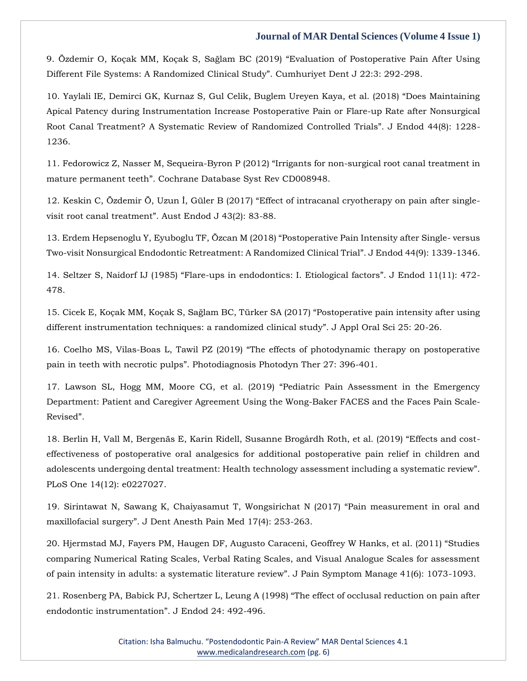9. [Özdemir O, Koçak MM, Koçak S, Sağlam BC \(2019\) "Evaluation of Postoperative Pain After Using](https://www.google.com/search?q=Evaluation+of+Postoperative+Pain+After+Using+Different+File+Systems%3A+A+Randomized+Clinical+Study&sxsrf=AOaemvKx8fj2wY8wyTKZv2kZ2IXwf5_V9w%3A1637592735030&ei=n66bYZSfAeHXz7sP_sG9-AE&ved=0ahUKEwjU6oeqnKz0AhXh63MBHf5gDx8Q4dUDCA4&uact=5&oq=Evaluation+of+Postoperative+Pain+After+Using+Different+File+Systems%3A+A+Randomized+Clinical+Study&gs_lcp=Cgdnd3Mtd2l6EAM6BwgjEOoCECdKBAhBGABQ8QZY8QZgwgloAXAAeACAAb8BiAG_AZIBAzAuMZgBAKABAaABArABCsABAQ&sclient=gws-wiz)  Different F[ile Systems: A Randomized Clinical Study". Cumhuriyet Dent J 22:3: 292](https://www.google.com/search?q=Evaluation+of+Postoperative+Pain+After+Using+Different+File+Systems%3A+A+Randomized+Clinical+Study&sxsrf=AOaemvKx8fj2wY8wyTKZv2kZ2IXwf5_V9w%3A1637592735030&ei=n66bYZSfAeHXz7sP_sG9-AE&ved=0ahUKEwjU6oeqnKz0AhXh63MBHf5gDx8Q4dUDCA4&uact=5&oq=Evaluation+of+Postoperative+Pain+After+Using+Different+File+Systems%3A+A+Randomized+Clinical+Study&gs_lcp=Cgdnd3Mtd2l6EAM6BwgjEOoCECdKBAhBGABQ8QZY8QZgwgloAXAAeACAAb8BiAG_AZIBAzAuMZgBAKABAaABArABCsABAQ&sclient=gws-wiz)-298.

10. [Yaylali IE, Demirci GK, Kurnaz S, Gul Celik, Buglem Ureyen Kaya, et al. \(2018\) "Does Maintaining](https://www.google.com/search?q=Does+Maintaining+Apical+Patency+during+Instrumentation+Increase+Postoperative+Pain+or+Flare-up+Rate+after+Nonsurgical+Root+Canal+Treatment%3F+A+Systematic+Review+of+Randomized+Controlled+Trials&sxsrf=AOaemvIy_lirfZEgbMulE4F4tl5EDfcvnw%3A1637592766154&ei=vq6bYansCNfbz7sPupOGiA4&ved=0ahUKEwipw_O4nKz0AhXX7XMBHbqJAeEQ4dUDCA4&uact=5&oq=Does+Maintaining+Apical+Patency+during+Instrumentation+Increase+Postoperative+Pain+or+Flare-up+Rate+after+Nonsurgical+Root+Canal+Treatment%3F+A+Systematic+Review+of+Randomized+Controlled+Trials&gs_lcp=Cgdnd3Mtd2l6EAMyBwgjEOoCECcyBwgjEOoCECcyBwgjEOoCECcyBwgjEOoCECcyBwgjEOoCECcyBwgjEOoCECcyBwgjEOoCECcyBwgjEOoCECcyBwgjEOoCECcyBwgjEOoCECdKBAhBGABQ9ANY9ANg4wZoAXAAeACAAQCIAQCSAQCYAQCgAQGgAQKwAQrAAQE&sclient=gws-wiz)  [Apical Patency during Instrumentation Increase Postoperative Pain or Flare-up Rate after Nonsurgical](https://www.google.com/search?q=Does+Maintaining+Apical+Patency+during+Instrumentation+Increase+Postoperative+Pain+or+Flare-up+Rate+after+Nonsurgical+Root+Canal+Treatment%3F+A+Systematic+Review+of+Randomized+Controlled+Trials&sxsrf=AOaemvIy_lirfZEgbMulE4F4tl5EDfcvnw%3A1637592766154&ei=vq6bYansCNfbz7sPupOGiA4&ved=0ahUKEwipw_O4nKz0AhXX7XMBHbqJAeEQ4dUDCA4&uact=5&oq=Does+Maintaining+Apical+Patency+during+Instrumentation+Increase+Postoperative+Pain+or+Flare-up+Rate+after+Nonsurgical+Root+Canal+Treatment%3F+A+Systematic+Review+of+Randomized+Controlled+Trials&gs_lcp=Cgdnd3Mtd2l6EAMyBwgjEOoCECcyBwgjEOoCECcyBwgjEOoCECcyBwgjEOoCECcyBwgjEOoCECcyBwgjEOoCECcyBwgjEOoCECcyBwgjEOoCECcyBwgjEOoCECcyBwgjEOoCECdKBAhBGABQ9ANY9ANg4wZoAXAAeACAAQCIAQCSAQCYAQCgAQGgAQKwAQrAAQE&sclient=gws-wiz)  [Root Canal Treatment? A Systematic Review of Randomized Controlled Trials". J Endod 44\(8\): 1228](https://www.google.com/search?q=Does+Maintaining+Apical+Patency+during+Instrumentation+Increase+Postoperative+Pain+or+Flare-up+Rate+after+Nonsurgical+Root+Canal+Treatment%3F+A+Systematic+Review+of+Randomized+Controlled+Trials&sxsrf=AOaemvIy_lirfZEgbMulE4F4tl5EDfcvnw%3A1637592766154&ei=vq6bYansCNfbz7sPupOGiA4&ved=0ahUKEwipw_O4nKz0AhXX7XMBHbqJAeEQ4dUDCA4&uact=5&oq=Does+Maintaining+Apical+Patency+during+Instrumentation+Increase+Postoperative+Pain+or+Flare-up+Rate+after+Nonsurgical+Root+Canal+Treatment%3F+A+Systematic+Review+of+Randomized+Controlled+Trials&gs_lcp=Cgdnd3Mtd2l6EAMyBwgjEOoCECcyBwgjEOoCECcyBwgjEOoCECcyBwgjEOoCECcyBwgjEOoCECcyBwgjEOoCECcyBwgjEOoCECcyBwgjEOoCECcyBwgjEOoCECcyBwgjEOoCECdKBAhBGABQ9ANY9ANg4wZoAXAAeACAAQCIAQCSAQCYAQCgAQGgAQKwAQrAAQE&sclient=gws-wiz)- [1236.](https://www.google.com/search?q=Does+Maintaining+Apical+Patency+during+Instrumentation+Increase+Postoperative+Pain+or+Flare-up+Rate+after+Nonsurgical+Root+Canal+Treatment%3F+A+Systematic+Review+of+Randomized+Controlled+Trials&sxsrf=AOaemvIy_lirfZEgbMulE4F4tl5EDfcvnw%3A1637592766154&ei=vq6bYansCNfbz7sPupOGiA4&ved=0ahUKEwipw_O4nKz0AhXX7XMBHbqJAeEQ4dUDCA4&uact=5&oq=Does+Maintaining+Apical+Patency+during+Instrumentation+Increase+Postoperative+Pain+or+Flare-up+Rate+after+Nonsurgical+Root+Canal+Treatment%3F+A+Systematic+Review+of+Randomized+Controlled+Trials&gs_lcp=Cgdnd3Mtd2l6EAMyBwgjEOoCECcyBwgjEOoCECcyBwgjEOoCECcyBwgjEOoCECcyBwgjEOoCECcyBwgjEOoCECcyBwgjEOoCECcyBwgjEOoCECcyBwgjEOoCECcyBwgjEOoCECdKBAhBGABQ9ANY9ANg4wZoAXAAeACAAQCIAQCSAQCYAQCgAQGgAQKwAQrAAQE&sclient=gws-wiz)

11. [Fedorowicz Z, Nasser M, Sequeira-](https://www.google.com/search?q=Irrigants+for+non-surgical+root+canal+treatment+in+mature+permanent+teeth&sxsrf=AOaemvIVGntM6OM6Ng8nc0gZa5tk5MraSw%3A1637592798454&ei=3q6bYc-VG-zBz7sP8Yms4AY&ved=0ahUKEwjP_KbInKz0AhXs4HMBHfEEC2wQ4dUDCA4&uact=5&oq=Irrigants+for+non-surgical+root+canal+treatment+in+mature+permanent+teeth&gs_lcp=Cgdnd3Mtd2l6EAMyBggAEBYQHjoHCCMQ6gIQJ0oECEEYAFCEBliEBmCXCWgBcAB4AIAB8AGIAfABkgEDMi0xmAEAoAEBoAECsAEKwAEB&sclient=gws-wiz)Byron P (2012) "Irrigants for non-surgical root canal treatment in [mature permanent teeth". Cochrane Database Syst Rev](https://www.google.com/search?q=Irrigants+for+non-surgical+root+canal+treatment+in+mature+permanent+teeth&sxsrf=AOaemvIVGntM6OM6Ng8nc0gZa5tk5MraSw%3A1637592798454&ei=3q6bYc-VG-zBz7sP8Yms4AY&ved=0ahUKEwjP_KbInKz0AhXs4HMBHfEEC2wQ4dUDCA4&uact=5&oq=Irrigants+for+non-surgical+root+canal+treatment+in+mature+permanent+teeth&gs_lcp=Cgdnd3Mtd2l6EAMyBggAEBYQHjoHCCMQ6gIQJ0oECEEYAFCEBliEBmCXCWgBcAB4AIAB8AGIAfABkgEDMi0xmAEAoAEBoAECsAEKwAEB&sclient=gws-wiz) CD008948.

12. [Keskin C, Özdemir Ö, Uzun İ, Güler B \(2017\) "Effect of intracanal cryotherapy on pain after single](https://www.google.com/search?q=Effect+of+intracanal+cryotherapy+on+pain+after+single-visit+root+canal+treatment&sxsrf=AOaemvIcmLh4Qo4i_VAxHWcE1193MFs-wQ%3A1637592840320&ei=CK-bYbP9Etnbz7sPl76SgAY&ved=0ahUKEwizoaLcnKz0AhXZ7XMBHRefBGAQ4dUDCA4&uact=5&oq=Effect+of+intracanal+cryotherapy+on+pain+after+single-visit+root+canal+treatment&gs_lcp=Cgdnd3Mtd2l6EAMyBQgAEIAEOgcIIxDqAhAnSgQIQRgAUJQEWJQEYKoIaAFwAHgAgAHQAYgB0AGSAQMyLTGYAQCgAQGgAQKwAQrAAQE&sclient=gws-wiz)[visit root canal treatment". Aust Endod J 43\(2\): 83](https://www.google.com/search?q=Effect+of+intracanal+cryotherapy+on+pain+after+single-visit+root+canal+treatment&sxsrf=AOaemvIcmLh4Qo4i_VAxHWcE1193MFs-wQ%3A1637592840320&ei=CK-bYbP9Etnbz7sPl76SgAY&ved=0ahUKEwizoaLcnKz0AhXZ7XMBHRefBGAQ4dUDCA4&uact=5&oq=Effect+of+intracanal+cryotherapy+on+pain+after+single-visit+root+canal+treatment&gs_lcp=Cgdnd3Mtd2l6EAMyBQgAEIAEOgcIIxDqAhAnSgQIQRgAUJQEWJQEYKoIaAFwAHgAgAHQAYgB0AGSAQMyLTGYAQCgAQGgAQKwAQrAAQE&sclient=gws-wiz)-88.

13. [Erdem Hepsenoglu Y, Eyuboglu TF, Özcan M \(2018\) "Postoperative Pain Intensity after Single](https://www.google.com/search?q=Postoperative+Pain+Intensity+after+Single-+versus+Two-visit+Nonsurgical+Endodontic+Retreatment%3A+A+Randomized+Clinical+Trial&sxsrf=AOaemvJdXn3a_tdDvrF9YhLutT1k2HW78w%3A1637592866329&ei=Iq-bYdG4E-LC3LUP_82riAY&ved=0ahUKEwjR0dXonKz0AhViIbcAHf_mCmEQ4dUDCA4&uact=5&oq=Postoperative+Pain+Intensity+after+Single-+versus+Two-visit+Nonsurgical+Endodontic+Retreatment%3A+A+Randomized+Clinical+Trial&gs_lcp=Cgdnd3Mtd2l6EAMyBwgjEOoCECcyBwgjEOoCECcyBwgjEOoCECcyBwgjEOoCECcyBwgjEOoCECcyBwgjEOoCECcyBwgjEOoCECcyBwgjEOoCECcyBwgjEOoCECcyBwgjEOoCECdKBAhBGABQ7AVY7AVgtQhoAXACeACAAQCIAQCSAQCYAQCgAQGgAQKwAQrAAQE&sclient=gws-wiz)- versus Two-[visit Nonsurgical Endodontic Retreatment: A Randomized Clinical Trial". J Endod 44\(9\): 1339](https://www.google.com/search?q=Postoperative+Pain+Intensity+after+Single-+versus+Two-visit+Nonsurgical+Endodontic+Retreatment%3A+A+Randomized+Clinical+Trial&sxsrf=AOaemvJdXn3a_tdDvrF9YhLutT1k2HW78w%3A1637592866329&ei=Iq-bYdG4E-LC3LUP_82riAY&ved=0ahUKEwjR0dXonKz0AhViIbcAHf_mCmEQ4dUDCA4&uact=5&oq=Postoperative+Pain+Intensity+after+Single-+versus+Two-visit+Nonsurgical+Endodontic+Retreatment%3A+A+Randomized+Clinical+Trial&gs_lcp=Cgdnd3Mtd2l6EAMyBwgjEOoCECcyBwgjEOoCECcyBwgjEOoCECcyBwgjEOoCECcyBwgjEOoCECcyBwgjEOoCECcyBwgjEOoCECcyBwgjEOoCECcyBwgjEOoCECcyBwgjEOoCECdKBAhBGABQ7AVY7AVgtQhoAXACeACAAQCIAQCSAQCYAQCgAQGgAQKwAQrAAQE&sclient=gws-wiz)-1346.

14. Seltzer S, Naidorf IJ (1985) "Flare-[ups in endodontics: I. Etiological factors". J Endod 11\(11\): 472](https://www.google.com/search?q=Flare-ups+in+endodontics%3A+I.+Etiological+factors&sxsrf=AOaemvKq1LNRC4pSJH8SsjscTifINDCM5Q%3A1637592882756&ei=Mq-bYczbLbnYz7sP0qaRuAY&ved=0ahUKEwjMvMDwnKz0AhU57HMBHVJTBGcQ4dUDCA4&uact=5&oq=Flare-ups+in+endodontics%3A+I.+Etiological+factors&gs_lcp=Cgdnd3Mtd2l6EAMyBQgAEIAEOgcIIxDqAhAnSgQIQRgAUL4EWL4EYJ0HaAFwAHgAgAHXAYgB1wGSAQMyLTGYAQCgAQGgAQKwAQrAAQE&sclient=gws-wiz)- [478.](https://www.google.com/search?q=Flare-ups+in+endodontics%3A+I.+Etiological+factors&sxsrf=AOaemvKq1LNRC4pSJH8SsjscTifINDCM5Q%3A1637592882756&ei=Mq-bYczbLbnYz7sP0qaRuAY&ved=0ahUKEwjMvMDwnKz0AhU57HMBHVJTBGcQ4dUDCA4&uact=5&oq=Flare-ups+in+endodontics%3A+I.+Etiological+factors&gs_lcp=Cgdnd3Mtd2l6EAMyBQgAEIAEOgcIIxDqAhAnSgQIQRgAUL4EWL4EYJ0HaAFwAHgAgAHXAYgB1wGSAQMyLTGYAQCgAQGgAQKwAQrAAQE&sclient=gws-wiz)

15. Cicek E, Koçak MM, Koçak S, Sağlam BC, Türker SA (2[017\) "Postoperative pain intensity after using](https://www.google.com/search?q=Postoperative+pain+intensity+after+using+different+instrumentation+techniques%3A+a+randomized+clinical+study&sxsrf=AOaemvIcd92AlFAqCxod7MmTfwgVro1yOg%3A1637592900247&ei=RK-bYb-9Dqzjz7sP-NyU2AI&ved=0ahUKEwi_7-v4nKz0AhWs8XMBHXguBSsQ4dUDCA4&uact=5&oq=Postoperative+pain+intensity+after+using+different+instrumentation+techniques%3A+a+randomized+clinical+study&gs_lcp=Cgdnd3Mtd2l6EAMyBwgjEOoCECcyBwgjEOoCECcyBwgjEOoCECcyBwgjEOoCECcyBwgjEOoCECcyBwgjEOoCECcyBwgjEOoCECcyBwgjEOoCECcyBwgjEOoCECcyBwgjEOoCECdKBAhBGABQjQRYjQRgqQZoAXAAeACAAQCIAQCSAQCYAQCgAQGgAQKwAQrAAQE&sclient=gws-wiz)  [different instrumentation techniques: a randomized clinical study". J Appl Oral Sci 25: 20](https://www.google.com/search?q=Postoperative+pain+intensity+after+using+different+instrumentation+techniques%3A+a+randomized+clinical+study&sxsrf=AOaemvIcd92AlFAqCxod7MmTfwgVro1yOg%3A1637592900247&ei=RK-bYb-9Dqzjz7sP-NyU2AI&ved=0ahUKEwi_7-v4nKz0AhWs8XMBHXguBSsQ4dUDCA4&uact=5&oq=Postoperative+pain+intensity+after+using+different+instrumentation+techniques%3A+a+randomized+clinical+study&gs_lcp=Cgdnd3Mtd2l6EAMyBwgjEOoCECcyBwgjEOoCECcyBwgjEOoCECcyBwgjEOoCECcyBwgjEOoCECcyBwgjEOoCECcyBwgjEOoCECcyBwgjEOoCECcyBwgjEOoCECcyBwgjEOoCECdKBAhBGABQjQRYjQRgqQZoAXAAeACAAQCIAQCSAQCYAQCgAQGgAQKwAQrAAQE&sclient=gws-wiz)-26.

16. Coelho MS, Vilas-[Boas L, Tawil PZ \(2019\) "The effects of photodynamic therapy on postoperative](https://www.google.com/search?q=The+effects+of+photodynamic+therapy+on+postoperative+pain+in+teeth+with+necrotic+pulps&sxsrf=AOaemvIL06eAcz029XZkuqOk9hDddl3wTg%3A1637592916313&ei=VK-bYZurEsSZmgeGkJC4Dw&ved=0ahUKEwibpcCAnaz0AhXEjOYKHQYIBPcQ4dUDCA4&uact=5&oq=The+effects+of+photodynamic+therapy+on+postoperative+pain+in+teeth+with+necrotic+pulps&gs_lcp=Cgdnd3Mtd2l6EAMyBAgAEB46BwgjEOoCECdKBAhBGABQsAZYsAZg0wloAXAAeACAAYICiAGCApIBAzItMZgBAKABAaABArABCsABAQ&sclient=gws-wiz)  [pain in teeth with necrotic pulps". Photo](https://www.google.com/search?q=The+effects+of+photodynamic+therapy+on+postoperative+pain+in+teeth+with+necrotic+pulps&sxsrf=AOaemvIL06eAcz029XZkuqOk9hDddl3wTg%3A1637592916313&ei=VK-bYZurEsSZmgeGkJC4Dw&ved=0ahUKEwibpcCAnaz0AhXEjOYKHQYIBPcQ4dUDCA4&uact=5&oq=The+effects+of+photodynamic+therapy+on+postoperative+pain+in+teeth+with+necrotic+pulps&gs_lcp=Cgdnd3Mtd2l6EAMyBAgAEB46BwgjEOoCECdKBAhBGABQsAZYsAZg0wloAXAAeACAAYICiAGCApIBAzItMZgBAKABAaABArABCsABAQ&sclient=gws-wiz)diagnosis Photodyn Ther 27: 396-401.

17. Lawson SL, Hogg MM, Moo[re CG, et al. \(2019\) "Pediatric Pain Assessment in the Emergency](https://www.google.com/search?q=Pediatric+Pain+Assessment+in+the+Emergency+Department%3A+Patient+and+Caregiver+Agreement+Using+the+Wong-Baker+FACES+and+the+Faces+Pain+Scale-Revised&sxsrf=AOaemvIoP5HN0sKX0EwvqYeE9R-8mBf7TA%3A1637592934516&ei=Zq-bYdiDH7f6z7sPn8SqwAc&ved=0ahUKEwjYzpeJnaz0AhU3_XMBHR-iCngQ4dUDCA4&uact=5&oq=Pediatric+Pain+Assessment+in+the+Emergency+Department%3A+Patient+and+Caregiver+Agreement+Using+the+Wong-Baker+FACES+and+the+Faces+Pain+Scale-Revised&gs_lcp=Cgdnd3Mtd2l6EAMyBwgjEOoCECcyBwgjEOoCECcyBwgjEOoCECcyBwgjEOoCECcyBwgjEOoCECcyBwgjEOoCECcyBwgjEOoCECcyBwgjEOoCECcyBwgjEOoCECcyBwgjEOoCECdKBAhBGABQ1QRY1QRg6AdoAXAAeACAAQCIAQCSAQCYAQCgAQGgAQKwAQrAAQE&sclient=gws-wiz)  [Department: Patient and Caregiver Agreement Using the Wong-Baker FACES and the Faces Pain Scale-](https://www.google.com/search?q=Pediatric+Pain+Assessment+in+the+Emergency+Department%3A+Patient+and+Caregiver+Agreement+Using+the+Wong-Baker+FACES+and+the+Faces+Pain+Scale-Revised&sxsrf=AOaemvIoP5HN0sKX0EwvqYeE9R-8mBf7TA%3A1637592934516&ei=Zq-bYdiDH7f6z7sPn8SqwAc&ved=0ahUKEwjYzpeJnaz0AhU3_XMBHR-iCngQ4dUDCA4&uact=5&oq=Pediatric+Pain+Assessment+in+the+Emergency+Department%3A+Patient+and+Caregiver+Agreement+Using+the+Wong-Baker+FACES+and+the+Faces+Pain+Scale-Revised&gs_lcp=Cgdnd3Mtd2l6EAMyBwgjEOoCECcyBwgjEOoCECcyBwgjEOoCECcyBwgjEOoCECcyBwgjEOoCECcyBwgjEOoCECcyBwgjEOoCECcyBwgjEOoCECcyBwgjEOoCECcyBwgjEOoCECdKBAhBGABQ1QRY1QRg6AdoAXAAeACAAQCIAQCSAQCYAQCgAQGgAQKwAQrAAQE&sclient=gws-wiz)[Revised".](https://www.google.com/search?q=Pediatric+Pain+Assessment+in+the+Emergency+Department%3A+Patient+and+Caregiver+Agreement+Using+the+Wong-Baker+FACES+and+the+Faces+Pain+Scale-Revised&sxsrf=AOaemvIoP5HN0sKX0EwvqYeE9R-8mBf7TA%3A1637592934516&ei=Zq-bYdiDH7f6z7sPn8SqwAc&ved=0ahUKEwjYzpeJnaz0AhU3_XMBHR-iCngQ4dUDCA4&uact=5&oq=Pediatric+Pain+Assessment+in+the+Emergency+Department%3A+Patient+and+Caregiver+Agreement+Using+the+Wong-Baker+FACES+and+the+Faces+Pain+Scale-Revised&gs_lcp=Cgdnd3Mtd2l6EAMyBwgjEOoCECcyBwgjEOoCECcyBwgjEOoCECcyBwgjEOoCECcyBwgjEOoCECcyBwgjEOoCECcyBwgjEOoCECcyBwgjEOoCECcyBwgjEOoCECcyBwgjEOoCECdKBAhBGABQ1QRY1QRg6AdoAXAAeACAAQCIAQCSAQCYAQCgAQGgAQKwAQrAAQE&sclient=gws-wiz)

18. [Berlin H, Vall M, Bergenäs E, Karin Ridell, Susanne Brogårdh Roth, et al. \(2019\) "Effects and cost](https://www.google.com/search?q=Effects+and+cost-effectiveness+of+postoperative+oral+analgesics+for+additional+postoperative+pain+relief+in+children+and+adolescents+undergoing+dental+treatment%3A+Health+technology+assessment+including+a+systematic+review&sxsrf=AOaemvJKPGJOvjKIUOTs--9FRhb5XI2xrg%3A1637592952214&ei=eK-bYaTHDNfcz7sPmvSI0AE&ved=0ahUKEwik48-Rnaz0AhVX7nMBHRo6AhoQ4dUDCA4&uact=5&oq=Effects+and+cost-effectiveness+of+postoperative+oral+analgesics+for+additional+postoperative+pain+relief+in+children+and+adolescents+undergoing+dental+treatment%3A+Health+technology+assessment+including+a+systematic+review&gs_lcp=Cgdnd3Mtd2l6EAMyBwgjEOoCECcyBwgjEOoCECcyBwgjEOoCECcyBwgjEOoCECcyBwgjEOoCECcyBwgjEOoCECcyBwgjEOoCECcyBwgjEOoCECcyBwgjEOoCECcyBwgjEOoCECdKBAhBGABQ8AVY8AVgmAloAXAAeACAAQCIAQCSAQCYAQCgAQGgAQKwAQrAAQE&sclient=gws-wiz)[effectiveness of postoperative oral analgesics for additional postoperative pain relief in children and](https://www.google.com/search?q=Effects+and+cost-effectiveness+of+postoperative+oral+analgesics+for+additional+postoperative+pain+relief+in+children+and+adolescents+undergoing+dental+treatment%3A+Health+technology+assessment+including+a+systematic+review&sxsrf=AOaemvJKPGJOvjKIUOTs--9FRhb5XI2xrg%3A1637592952214&ei=eK-bYaTHDNfcz7sPmvSI0AE&ved=0ahUKEwik48-Rnaz0AhVX7nMBHRo6AhoQ4dUDCA4&uact=5&oq=Effects+and+cost-effectiveness+of+postoperative+oral+analgesics+for+additional+postoperative+pain+relief+in+children+and+adolescents+undergoing+dental+treatment%3A+Health+technology+assessment+including+a+systematic+review&gs_lcp=Cgdnd3Mtd2l6EAMyBwgjEOoCECcyBwgjEOoCECcyBwgjEOoCECcyBwgjEOoCECcyBwgjEOoCECcyBwgjEOoCECcyBwgjEOoCECcyBwgjEOoCECcyBwgjEOoCECcyBwgjEOoCECdKBAhBGABQ8AVY8AVgmAloAXAAeACAAQCIAQCSAQCYAQCgAQGgAQKwAQrAAQE&sclient=gws-wiz)  adolescents undergoing dental treatment: Health te[chnology assessment including a systematic review".](https://www.google.com/search?q=Effects+and+cost-effectiveness+of+postoperative+oral+analgesics+for+additional+postoperative+pain+relief+in+children+and+adolescents+undergoing+dental+treatment%3A+Health+technology+assessment+including+a+systematic+review&sxsrf=AOaemvJKPGJOvjKIUOTs--9FRhb5XI2xrg%3A1637592952214&ei=eK-bYaTHDNfcz7sPmvSI0AE&ved=0ahUKEwik48-Rnaz0AhVX7nMBHRo6AhoQ4dUDCA4&uact=5&oq=Effects+and+cost-effectiveness+of+postoperative+oral+analgesics+for+additional+postoperative+pain+relief+in+children+and+adolescents+undergoing+dental+treatment%3A+Health+technology+assessment+including+a+systematic+review&gs_lcp=Cgdnd3Mtd2l6EAMyBwgjEOoCECcyBwgjEOoCECcyBwgjEOoCECcyBwgjEOoCECcyBwgjEOoCECcyBwgjEOoCECcyBwgjEOoCECcyBwgjEOoCECcyBwgjEOoCECcyBwgjEOoCECdKBAhBGABQ8AVY8AVgmAloAXAAeACAAQCIAQCSAQCYAQCgAQGgAQKwAQrAAQE&sclient=gws-wiz)  [PLoS One 14\(12\): e0227027.](https://www.google.com/search?q=Effects+and+cost-effectiveness+of+postoperative+oral+analgesics+for+additional+postoperative+pain+relief+in+children+and+adolescents+undergoing+dental+treatment%3A+Health+technology+assessment+including+a+systematic+review&sxsrf=AOaemvJKPGJOvjKIUOTs--9FRhb5XI2xrg%3A1637592952214&ei=eK-bYaTHDNfcz7sPmvSI0AE&ved=0ahUKEwik48-Rnaz0AhVX7nMBHRo6AhoQ4dUDCA4&uact=5&oq=Effects+and+cost-effectiveness+of+postoperative+oral+analgesics+for+additional+postoperative+pain+relief+in+children+and+adolescents+undergoing+dental+treatment%3A+Health+technology+assessment+including+a+systematic+review&gs_lcp=Cgdnd3Mtd2l6EAMyBwgjEOoCECcyBwgjEOoCECcyBwgjEOoCECcyBwgjEOoCECcyBwgjEOoCECcyBwgjEOoCECcyBwgjEOoCECcyBwgjEOoCECcyBwgjEOoCECcyBwgjEOoCECdKBAhBGABQ8AVY8AVgmAloAXAAeACAAQCIAQCSAQCYAQCgAQGgAQKwAQrAAQE&sclient=gws-wiz)

19. Sirintawat N, [Sawang K, Chaiyasamut T, Wongsirichat N \(2017\) "Pain measurement in oral and](https://www.google.com/search?q=Pain+measurement+in+oral+and+maxillofacial+surgery&sxsrf=AOaemvK1EMbv3NkqIIf-y6jv69yUimp5Zg%3A1637592977866&ei=ka-bYeW7NNjez7sPyuGRQA&ved=0ahUKEwilyO2dnaz0AhVY73MBHcpwBAgQ4dUDCA4&uact=5&oq=Pain+measurement+in+oral+and+maxillofacial+surgery&gs_lcp=Cgdnd3Mtd2l6EAMyBQgAEIAEOgcIIxDqAhAnSgQIQRgAULgGWLgGYI8JaAFwAHgAgAHYAYgB2AGSAQMyLTGYAQCgAQGgAQKwAQrAAQE&sclient=gws-wiz)  [maxillofacial surgery". J Dent Anesth Pain Med 17\(4\): 253](https://www.google.com/search?q=Pain+measurement+in+oral+and+maxillofacial+surgery&sxsrf=AOaemvK1EMbv3NkqIIf-y6jv69yUimp5Zg%3A1637592977866&ei=ka-bYeW7NNjez7sPyuGRQA&ved=0ahUKEwilyO2dnaz0AhVY73MBHcpwBAgQ4dUDCA4&uact=5&oq=Pain+measurement+in+oral+and+maxillofacial+surgery&gs_lcp=Cgdnd3Mtd2l6EAMyBQgAEIAEOgcIIxDqAhAnSgQIQRgAULgGWLgGYI8JaAFwAHgAgAHYAYgB2AGSAQMyLTGYAQCgAQGgAQKwAQrAAQE&sclient=gws-wiz)-263.

20. [Hjermstad MJ, Fayers PM, Haugen DF, Augusto Caraceni, Geoffrey W Hanks, et al. \(2011\) "Studies](https://www.google.com/search?q=%E2%80%9CStudies+comparing+Numerical+Rating+Scales%2C+Verbal+Rating+Scales%2C+and+Visual+Analogue+Scales+for+assessment+of+pain+intensity+in+adults%3A+a+systematic+literature+review&sxsrf=AOaemvK8Qtiua8qEbgjRrDn2sDOu2qpAKw%3A1637593001123&ei=qa-bYdCEB6WMmgeVy4ywBg&ved=0ahUKEwiQ_fionaz0AhUlhuYKHZUlA2YQ4dUDCA4&uact=5&oq=%E2%80%9CStudies+comparing+Numerical+Rating+Scales%2C+Verbal+Rating+Scales%2C+and+Visual+Analogue+Scales+for+assessment+of+pain+intensity+in+adults%3A+a+systematic+literature+review&gs_lcp=Cgdnd3Mtd2l6EAMyBwgjEOoCECcyBwgjEOoCECcyBwgjEOoCECcyBwgjEOoCECcyBwgjEOoCECcyBwgjEOoCECcyBwgjEOoCECcyBwgjEOoCECcyBwgjEOoCECcyBwgjEOoCECdKBAhBGABQ8QVY8QVgiAloAXACeACAAQCIAQCSAQCYAQCgAQGgAQKwAQrAAQE&sclient=gws-wiz)  [comparing Numerical Rating Scales, Verbal Rating Scales, and Visual Analogue Scales for assessment](https://www.google.com/search?q=%E2%80%9CStudies+comparing+Numerical+Rating+Scales%2C+Verbal+Rating+Scales%2C+and+Visual+Analogue+Scales+for+assessment+of+pain+intensity+in+adults%3A+a+systematic+literature+review&sxsrf=AOaemvK8Qtiua8qEbgjRrDn2sDOu2qpAKw%3A1637593001123&ei=qa-bYdCEB6WMmgeVy4ywBg&ved=0ahUKEwiQ_fionaz0AhUlhuYKHZUlA2YQ4dUDCA4&uact=5&oq=%E2%80%9CStudies+comparing+Numerical+Rating+Scales%2C+Verbal+Rating+Scales%2C+and+Visual+Analogue+Scales+for+assessment+of+pain+intensity+in+adults%3A+a+systematic+literature+review&gs_lcp=Cgdnd3Mtd2l6EAMyBwgjEOoCECcyBwgjEOoCECcyBwgjEOoCECcyBwgjEOoCECcyBwgjEOoCECcyBwgjEOoCECcyBwgjEOoCECcyBwgjEOoCECcyBwgjEOoCECcyBwgjEOoCECdKBAhBGABQ8QVY8QVgiAloAXACeACAAQCIAQCSAQCYAQCgAQGgAQKwAQrAAQE&sclient=gws-wiz)  [of pain intensity in adults: a systematic literature review". J Pain Symptom Manage 41\(6\): 1073](https://www.google.com/search?q=%E2%80%9CStudies+comparing+Numerical+Rating+Scales%2C+Verbal+Rating+Scales%2C+and+Visual+Analogue+Scales+for+assessment+of+pain+intensity+in+adults%3A+a+systematic+literature+review&sxsrf=AOaemvK8Qtiua8qEbgjRrDn2sDOu2qpAKw%3A1637593001123&ei=qa-bYdCEB6WMmgeVy4ywBg&ved=0ahUKEwiQ_fionaz0AhUlhuYKHZUlA2YQ4dUDCA4&uact=5&oq=%E2%80%9CStudies+comparing+Numerical+Rating+Scales%2C+Verbal+Rating+Scales%2C+and+Visual+Analogue+Scales+for+assessment+of+pain+intensity+in+adults%3A+a+systematic+literature+review&gs_lcp=Cgdnd3Mtd2l6EAMyBwgjEOoCECcyBwgjEOoCECcyBwgjEOoCECcyBwgjEOoCECcyBwgjEOoCECcyBwgjEOoCECcyBwgjEOoCECcyBwgjEOoCECcyBwgjEOoCECcyBwgjEOoCECdKBAhBGABQ8QVY8QVgiAloAXACeACAAQCIAQCSAQCYAQCgAQGgAQKwAQrAAQE&sclient=gws-wiz)-1093.

21. [Rosenberg PA, Babick PJ, Schertzer L, Leung A \(1998\) "The effect of occlusal reduction on pain after](https://www.google.com/search?q=The+effect+of+occlusal+reduction+on+pain+after+endodontic+instrumentation&sxsrf=AOaemvJq3LTDXrr1BQgjULiZOfJD0aKNeg%3A1637593019501&ei=u6-bYav0HcHWz7sPnbSegAU&ved=0ahUKEwjrvdqxnaz0AhVB63MBHR2aB1AQ4dUDCA4&uact=5&oq=The+effect+of+occlusal+reduction+on+pain+after+endodontic+instrumentation&gs_lcp=Cgdnd3Mtd2l6EAMyBggAEBYQHjoHCCMQ6gIQJ0oECEEYAFCUBliUBmDfCGgBcAJ4AIAB7wGIAe8BkgEDMi0xmAEAoAEBoAECsAEKwAEB&sclient=gws-wiz)  endodontic inst[rumentation". J Endod 24: 492](https://www.google.com/search?q=The+effect+of+occlusal+reduction+on+pain+after+endodontic+instrumentation&sxsrf=AOaemvJq3LTDXrr1BQgjULiZOfJD0aKNeg%3A1637593019501&ei=u6-bYav0HcHWz7sPnbSegAU&ved=0ahUKEwjrvdqxnaz0AhVB63MBHR2aB1AQ4dUDCA4&uact=5&oq=The+effect+of+occlusal+reduction+on+pain+after+endodontic+instrumentation&gs_lcp=Cgdnd3Mtd2l6EAMyBggAEBYQHjoHCCMQ6gIQJ0oECEEYAFCUBliUBmDfCGgBcAJ4AIAB7wGIAe8BkgEDMi0xmAEAoAEBoAECsAEKwAEB&sclient=gws-wiz)-496.